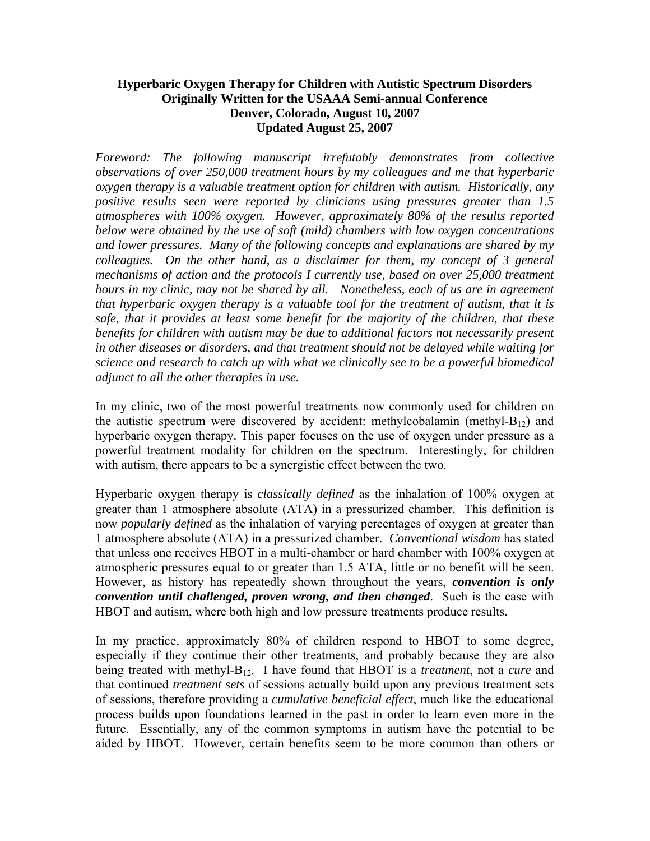## **Hyperbaric Oxygen Therapy for Children with Autistic Spectrum Disorders Originally Written for the USAAA Semi-annual Conference Denver, Colorado, August 10, 2007 Updated August 25, 2007**

*Foreword: The following manuscript irrefutably demonstrates from collective observations of over 250,000 treatment hours by my colleagues and me that hyperbaric oxygen therapy is a valuable treatment option for children with autism. Historically, any positive results seen were reported by clinicians using pressures greater than 1.5 atmospheres with 100% oxygen. However, approximately 80% of the results reported below were obtained by the use of soft (mild) chambers with low oxygen concentrations and lower pressures. Many of the following concepts and explanations are shared by my colleagues. On the other hand, as a disclaimer for them, my concept of 3 general mechanisms of action and the protocols I currently use, based on over 25,000 treatment hours in my clinic, may not be shared by all. Nonetheless, each of us are in agreement that hyperbaric oxygen therapy is a valuable tool for the treatment of autism, that it is safe, that it provides at least some benefit for the majority of the children, that these benefits for children with autism may be due to additional factors not necessarily present in other diseases or disorders, and that treatment should not be delayed while waiting for science and research to catch up with what we clinically see to be a powerful biomedical adjunct to all the other therapies in use.* 

In my clinic, two of the most powerful treatments now commonly used for children on the autistic spectrum were discovered by accident: methylcobalamin (methyl- $B_{12}$ ) and hyperbaric oxygen therapy. This paper focuses on the use of oxygen under pressure as a powerful treatment modality for children on the spectrum. Interestingly, for children with autism, there appears to be a synergistic effect between the two.

Hyperbaric oxygen therapy is *classically defined* as the inhalation of 100% oxygen at greater than 1 atmosphere absolute (ATA) in a pressurized chamber. This definition is now *popularly defined* as the inhalation of varying percentages of oxygen at greater than 1 atmosphere absolute (ATA) in a pressurized chamber. *Conventional wisdom* has stated that unless one receives HBOT in a multi-chamber or hard chamber with 100% oxygen at atmospheric pressures equal to or greater than 1.5 ATA, little or no benefit will be seen. However, as history has repeatedly shown throughout the years, *convention is only convention until challenged, proven wrong, and then changed*. Such is the case with HBOT and autism, where both high and low pressure treatments produce results.

In my practice, approximately 80% of children respond to HBOT to some degree, especially if they continue their other treatments, and probably because they are also being treated with methyl-B12. I have found that HBOT is a *treatment*, not a *cure* and that continued *treatment sets* of sessions actually build upon any previous treatment sets of sessions, therefore providing a *cumulative beneficial effect*, much like the educational process builds upon foundations learned in the past in order to learn even more in the future. Essentially, any of the common symptoms in autism have the potential to be aided by HBOT. However, certain benefits seem to be more common than others or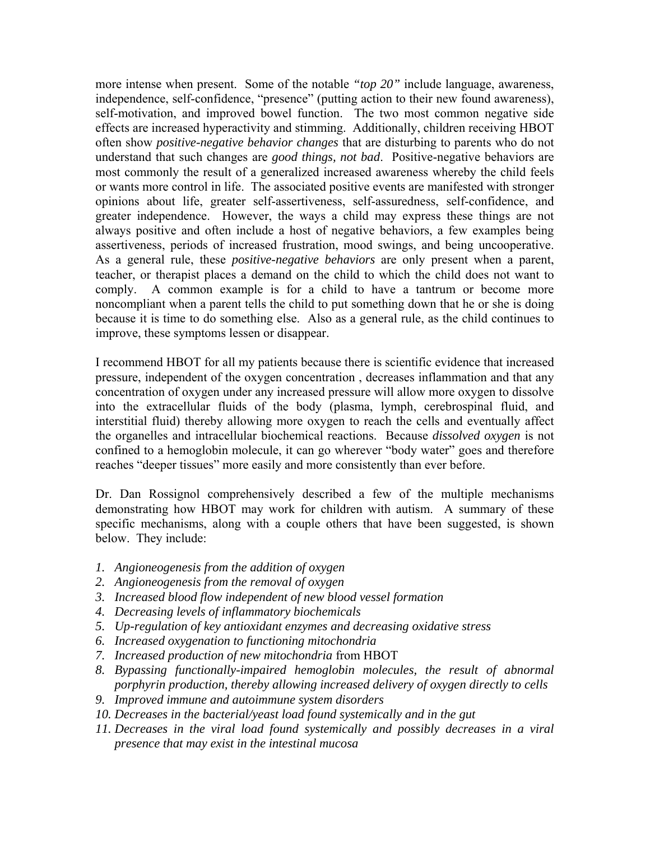more intense when present. Some of the notable *"top 20"* include language, awareness, independence, self-confidence, "presence" (putting action to their new found awareness), self-motivation, and improved bowel function. The two most common negative side effects are increased hyperactivity and stimming. Additionally, children receiving HBOT often show *positive-negative behavior changes* that are disturbing to parents who do not understand that such changes are *good things, not bad*. Positive-negative behaviors are most commonly the result of a generalized increased awareness whereby the child feels or wants more control in life. The associated positive events are manifested with stronger opinions about life, greater self-assertiveness, self-assuredness, self-confidence, and greater independence. However, the ways a child may express these things are not always positive and often include a host of negative behaviors, a few examples being assertiveness, periods of increased frustration, mood swings, and being uncooperative. As a general rule, these *positive-negative behaviors* are only present when a parent, teacher, or therapist places a demand on the child to which the child does not want to comply. A common example is for a child to have a tantrum or become more noncompliant when a parent tells the child to put something down that he or she is doing because it is time to do something else. Also as a general rule, as the child continues to improve, these symptoms lessen or disappear.

I recommend HBOT for all my patients because there is scientific evidence that increased pressure, independent of the oxygen concentration , decreases inflammation and that any concentration of oxygen under any increased pressure will allow more oxygen to dissolve into the extracellular fluids of the body (plasma, lymph, cerebrospinal fluid, and interstitial fluid) thereby allowing more oxygen to reach the cells and eventually affect the organelles and intracellular biochemical reactions. Because *dissolved oxygen* is not confined to a hemoglobin molecule, it can go wherever "body water" goes and therefore reaches "deeper tissues" more easily and more consistently than ever before.

Dr. Dan Rossignol comprehensively described a few of the multiple mechanisms demonstrating how HBOT may work for children with autism. A summary of these specific mechanisms, along with a couple others that have been suggested, is shown below. They include:

- *1. Angioneogenesis from the addition of oxygen*
- *2. Angioneogenesis from the removal of oxygen*
- *3. Increased blood flow independent of new blood vessel formation*
- *4. Decreasing levels of inflammatory biochemicals*
- *5. Up-regulation of key antioxidant enzymes and decreasing oxidative stress*
- *6. Increased oxygenation to functioning mitochondria*
- *7. Increased production of new mitochondria* from HBOT
- *8. Bypassing functionally-impaired hemoglobin molecules, the result of abnormal porphyrin production, thereby allowing increased delivery of oxygen directly to cells*
- *9. Improved immune and autoimmune system disorders*
- *10. Decreases in the bacterial/yeast load found systemically and in the gut*
- *11. Decreases in the viral load found systemically and possibly decreases in a viral presence that may exist in the intestinal mucosa*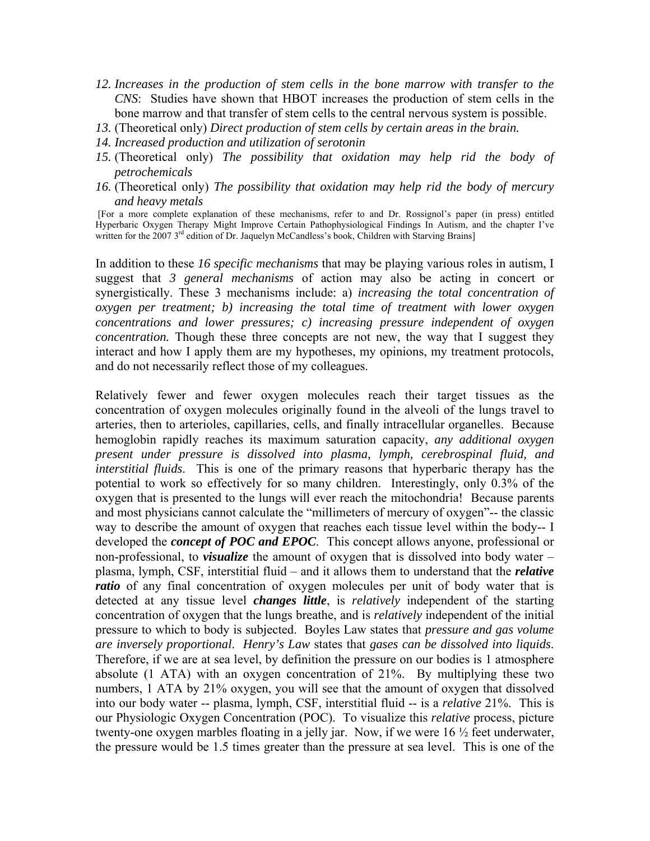- *12. Increases in the production of stem cells in the bone marrow with transfer to the CNS*: Studies have shown that HBOT increases the production of stem cells in the bone marrow and that transfer of stem cells to the central nervous system is possible.
- *13.* (Theoretical only) *Direct production of stem cells by certain areas in the brain.*
- *14. Increased production and utilization of serotonin*
- *15.* (Theoretical only) *The possibility that oxidation may help rid the body of petrochemicals*
- *16.* (Theoretical only) *The possibility that oxidation may help rid the body of mercury and heavy metals*

 [For a more complete explanation of these mechanisms, refer to and Dr. Rossignol's paper (in press) entitled Hyperbaric Oxygen Therapy Might Improve Certain Pathophysiological Findings In Autism, and the chapter I've written for the 2007  $3<sup>rd</sup>$  edition of Dr. Jaquelyn McCandless's book, Children with Starving Brains]

In addition to these *16 specific mechanisms* that may be playing various roles in autism, I suggest that *3 general mechanisms* of action may also be acting in concert or synergistically. These 3 mechanisms include: a) *increasing the total concentration of oxygen per treatment; b) increasing the total time of treatment with lower oxygen concentrations and lower pressures; c) increasing pressure independent of oxygen concentration.* Though these three concepts are not new, the way that I suggest they interact and how I apply them are my hypotheses, my opinions, my treatment protocols, and do not necessarily reflect those of my colleagues.

Relatively fewer and fewer oxygen molecules reach their target tissues as the concentration of oxygen molecules originally found in the alveoli of the lungs travel to arteries, then to arterioles, capillaries, cells, and finally intracellular organelles. Because hemoglobin rapidly reaches its maximum saturation capacity, *any additional oxygen present under pressure is dissolved into plasma, lymph, cerebrospinal fluid, and interstitial fluids*. This is one of the primary reasons that hyperbaric therapy has the potential to work so effectively for so many children. Interestingly, only 0.3% of the oxygen that is presented to the lungs will ever reach the mitochondria! Because parents and most physicians cannot calculate the "millimeters of mercury of oxygen"-- the classic way to describe the amount of oxygen that reaches each tissue level within the body-- I developed the *concept of POC and EPOC*. This concept allows anyone, professional or non-professional, to *visualize* the amount of oxygen that is dissolved into body water – plasma, lymph, CSF, interstitial fluid – and it allows them to understand that the *relative ratio* of any final concentration of oxygen molecules per unit of body water that is detected at any tissue level *changes little*, is *relatively* independent of the starting concentration of oxygen that the lungs breathe, and is *relatively* independent of the initial pressure to which to body is subjected. Boyles Law states that *pressure and gas volume are inversely proportional*. *Henry's Law* states that *gases can be dissolved into liquids*. Therefore, if we are at sea level, by definition the pressure on our bodies is 1 atmosphere absolute (1 ATA) with an oxygen concentration of 21%. By multiplying these two numbers, 1 ATA by 21% oxygen, you will see that the amount of oxygen that dissolved into our body water -- plasma, lymph, CSF, interstitial fluid -- is a *relative* 21%. This is our Physiologic Oxygen Concentration (POC). To visualize this *relative* process, picture twenty-one oxygen marbles floating in a jelly jar. Now, if we were 16 ½ feet underwater, the pressure would be 1.5 times greater than the pressure at sea level. This is one of the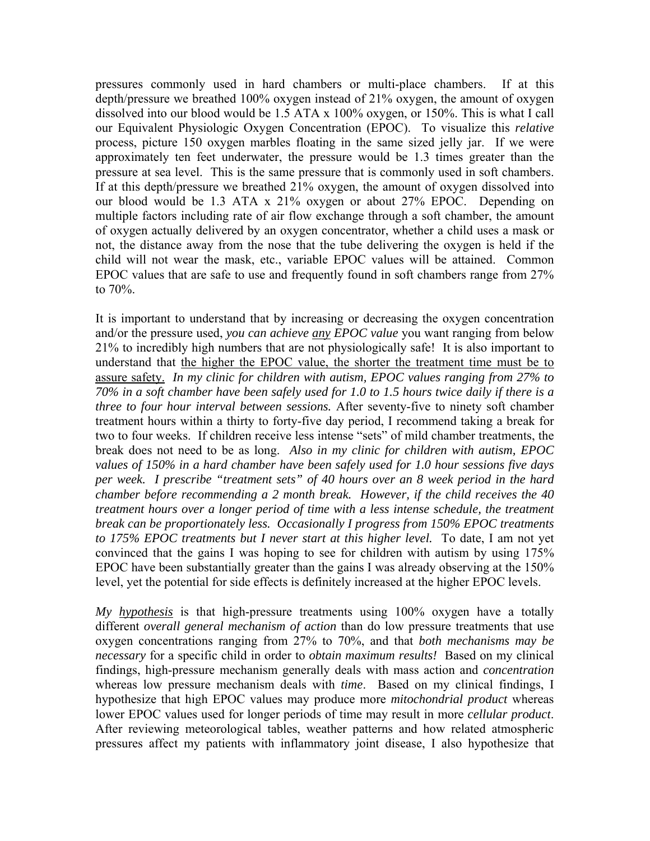pressures commonly used in hard chambers or multi-place chambers. If at this depth/pressure we breathed 100% oxygen instead of 21% oxygen, the amount of oxygen dissolved into our blood would be 1.5 ATA x 100% oxygen, or 150%. This is what I call our Equivalent Physiologic Oxygen Concentration (EPOC). To visualize this *relative* process, picture 150 oxygen marbles floating in the same sized jelly jar. If we were approximately ten feet underwater, the pressure would be 1.3 times greater than the pressure at sea level. This is the same pressure that is commonly used in soft chambers. If at this depth/pressure we breathed 21% oxygen, the amount of oxygen dissolved into our blood would be 1.3 ATA x 21% oxygen or about 27% EPOC. Depending on multiple factors including rate of air flow exchange through a soft chamber, the amount of oxygen actually delivered by an oxygen concentrator, whether a child uses a mask or not, the distance away from the nose that the tube delivering the oxygen is held if the child will not wear the mask, etc., variable EPOC values will be attained. Common EPOC values that are safe to use and frequently found in soft chambers range from 27% to 70%.

It is important to understand that by increasing or decreasing the oxygen concentration and/or the pressure used, *you can achieve any EPOC value* you want ranging from below 21% to incredibly high numbers that are not physiologically safe! It is also important to understand that the higher the EPOC value, the shorter the treatment time must be to assure safety. *In my clinic for children with autism, EPOC values ranging from 27% to 70% in a soft chamber have been safely used for 1.0 to 1.5 hours twice daily if there is a three to four hour interval between sessions.* After seventy-five to ninety soft chamber treatment hours within a thirty to forty-five day period, I recommend taking a break for two to four weeks. If children receive less intense "sets" of mild chamber treatments, the break does not need to be as long. *Also in my clinic for children with autism, EPOC values of 150% in a hard chamber have been safely used for 1.0 hour sessions five days per week. I prescribe "treatment sets" of 40 hours over an 8 week period in the hard chamber before recommending a 2 month break. However, if the child receives the 40 treatment hours over a longer period of time with a less intense schedule, the treatment break can be proportionately less. Occasionally I progress from 150% EPOC treatments to 175% EPOC treatments but I never start at this higher level.* To date, I am not yet convinced that the gains I was hoping to see for children with autism by using 175% EPOC have been substantially greater than the gains I was already observing at the 150% level, yet the potential for side effects is definitely increased at the higher EPOC levels.

*My hypothesis* is that high-pressure treatments using 100% oxygen have a totally different *overall general mechanism of action* than do low pressure treatments that use oxygen concentrations ranging from 27% to 70%, and that *both mechanisms may be necessary* for a specific child in order to *obtain maximum results!* Based on my clinical findings, high-pressure mechanism generally deals with mass action and *concentration*  whereas low pressure mechanism deals with *time*. Based on my clinical findings, I hypothesize that high EPOC values may produce more *mitochondrial product* whereas lower EPOC values used for longer periods of time may result in more *cellular product*. After reviewing meteorological tables, weather patterns and how related atmospheric pressures affect my patients with inflammatory joint disease, I also hypothesize that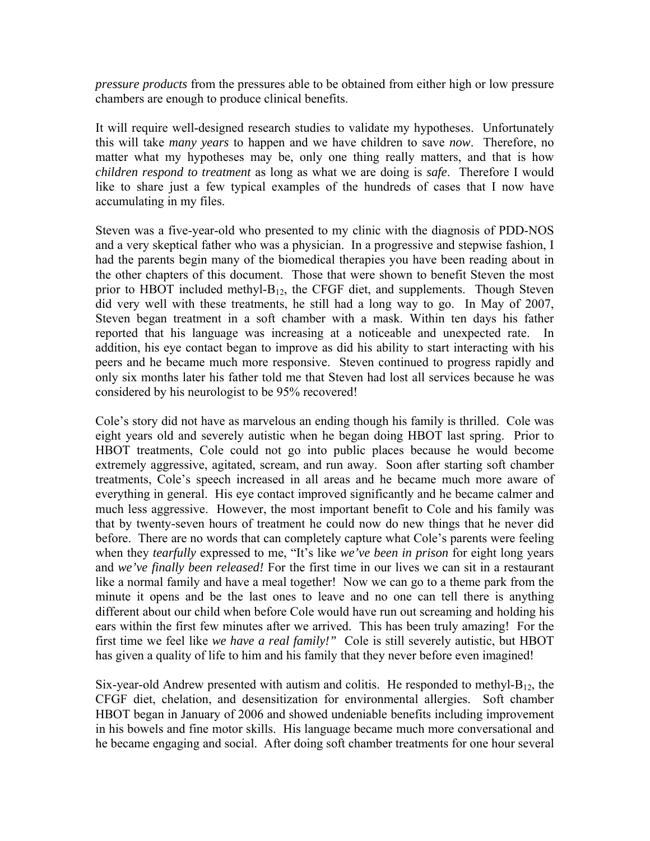*pressure products* from the pressures able to be obtained from either high or low pressure chambers are enough to produce clinical benefits.

It will require well-designed research studies to validate my hypotheses. Unfortunately this will take *many years* to happen and we have children to save *now*. Therefore, no matter what my hypotheses may be, only one thing really matters, and that is how *children respond to treatment* as long as what we are doing is *safe*. Therefore I would like to share just a few typical examples of the hundreds of cases that I now have accumulating in my files.

Steven was a five-year-old who presented to my clinic with the diagnosis of PDD-NOS and a very skeptical father who was a physician. In a progressive and stepwise fashion, I had the parents begin many of the biomedical therapies you have been reading about in the other chapters of this document. Those that were shown to benefit Steven the most prior to HBOT included methyl- $B_{12}$ , the CFGF diet, and supplements. Though Steven did very well with these treatments, he still had a long way to go. In May of 2007, Steven began treatment in a soft chamber with a mask. Within ten days his father reported that his language was increasing at a noticeable and unexpected rate. In addition, his eye contact began to improve as did his ability to start interacting with his peers and he became much more responsive. Steven continued to progress rapidly and only six months later his father told me that Steven had lost all services because he was considered by his neurologist to be 95% recovered!

Cole's story did not have as marvelous an ending though his family is thrilled. Cole was eight years old and severely autistic when he began doing HBOT last spring. Prior to HBOT treatments, Cole could not go into public places because he would become extremely aggressive, agitated, scream, and run away. Soon after starting soft chamber treatments, Cole's speech increased in all areas and he became much more aware of everything in general. His eye contact improved significantly and he became calmer and much less aggressive. However, the most important benefit to Cole and his family was that by twenty-seven hours of treatment he could now do new things that he never did before. There are no words that can completely capture what Cole's parents were feeling when they *tearfully* expressed to me, "It's like *we've been in prison* for eight long years and *we've finally been released!* For the first time in our lives we can sit in a restaurant like a normal family and have a meal together! Now we can go to a theme park from the minute it opens and be the last ones to leave and no one can tell there is anything different about our child when before Cole would have run out screaming and holding his ears within the first few minutes after we arrived. This has been truly amazing! For the first time we feel like *we have a real family!"* Cole is still severely autistic, but HBOT has given a quality of life to him and his family that they never before even imagined!

Six-year-old Andrew presented with autism and colitis. He responded to methyl- $B_{12}$ , the CFGF diet, chelation, and desensitization for environmental allergies. Soft chamber HBOT began in January of 2006 and showed undeniable benefits including improvement in his bowels and fine motor skills. His language became much more conversational and he became engaging and social. After doing soft chamber treatments for one hour several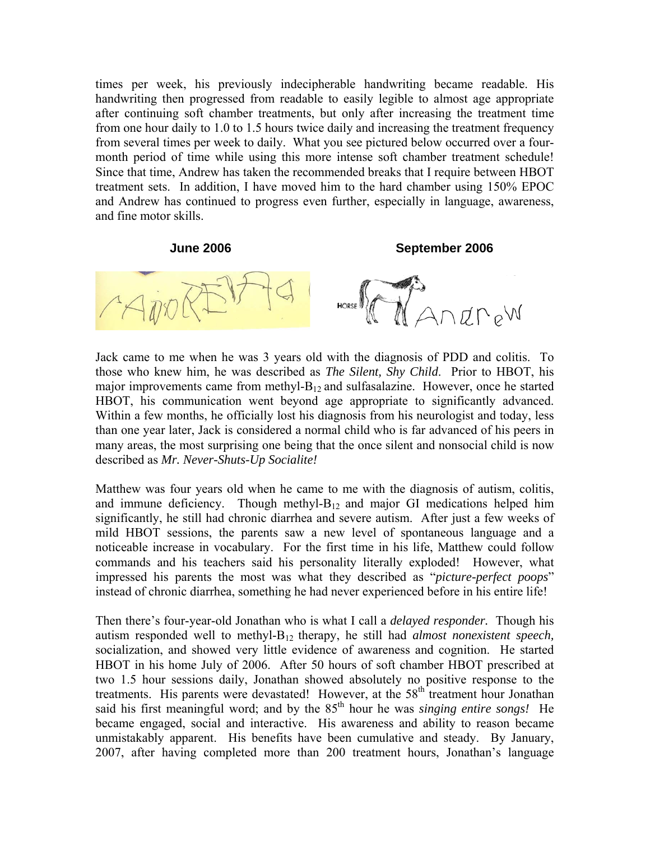times per week, his previously indecipherable handwriting became readable. His handwriting then progressed from readable to easily legible to almost age appropriate after continuing soft chamber treatments, but only after increasing the treatment time from one hour daily to 1.0 to 1.5 hours twice daily and increasing the treatment frequency from several times per week to daily. What you see pictured below occurred over a fourmonth period of time while using this more intense soft chamber treatment schedule! Since that time, Andrew has taken the recommended breaks that I require between HBOT treatment sets. In addition, I have moved him to the hard chamber using 150% EPOC and Andrew has continued to progress even further, especially in language, awareness, and fine motor skills.

**June 2006 September 2006** 



Jack came to me when he was 3 years old with the diagnosis of PDD and colitis. To those who knew him, he was described as *The Silent, Shy Child*. Prior to HBOT, his major improvements came from methyl- $B_{12}$  and sulfasalazine. However, once he started HBOT, his communication went beyond age appropriate to significantly advanced. Within a few months, he officially lost his diagnosis from his neurologist and today, less than one year later, Jack is considered a normal child who is far advanced of his peers in many areas, the most surprising one being that the once silent and nonsocial child is now described as *Mr. Never-Shuts-Up Socialite!*

Matthew was four years old when he came to me with the diagnosis of autism, colitis, and immune deficiency. Though methyl- $B_{12}$  and major GI medications helped him significantly, he still had chronic diarrhea and severe autism. After just a few weeks of mild HBOT sessions, the parents saw a new level of spontaneous language and a noticeable increase in vocabulary. For the first time in his life, Matthew could follow commands and his teachers said his personality literally exploded! However, what impressed his parents the most was what they described as "*picture-perfect poops*" instead of chronic diarrhea, something he had never experienced before in his entire life!

Then there's four-year-old Jonathan who is what I call a *delayed responder.* Though his autism responded well to methyl-B12 therapy, he still had *almost nonexistent speech,* socialization, and showed very little evidence of awareness and cognition. He started HBOT in his home July of 2006. After 50 hours of soft chamber HBOT prescribed at two 1.5 hour sessions daily, Jonathan showed absolutely no positive response to the treatments. His parents were devastated! However, at the 58<sup>th</sup> treatment hour Jonathan said his first meaningful word; and by the 85<sup>th</sup> hour he was *singing entire songs!* He became engaged, social and interactive. His awareness and ability to reason became unmistakably apparent. His benefits have been cumulative and steady. By January, 2007, after having completed more than 200 treatment hours, Jonathan's language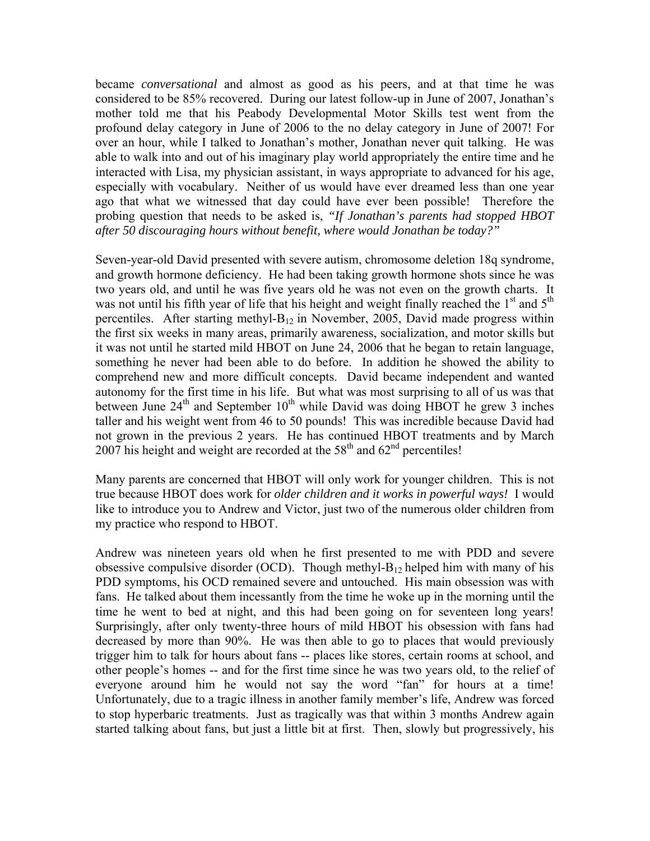became *conversational* and almost as good as his peers, and at that time he was considered to be 85% recovered. During our latest follow-up in June of 2007, Jonathan's mother told me that his Peabody Developmental Motor Skills test went from the profound delay category in June of 2006 to the no delay category in June of 2007! For over an hour, while I talked to Jonathan's mother, Jonathan never quit talking. He was able to walk into and out of his imaginary play world appropriately the entire time and he interacted with Lisa, my physician assistant, in ways appropriate to advanced for his age, especially with vocabulary. Neither of us would have ever dreamed less than one year ago that what we witnessed that day could have ever been possible! Therefore the probing question that needs to be asked is, *"If Jonathan's parents had stopped HBOT after 50 discouraging hours without benefit, where would Jonathan be today?"*

Seven-year-old David presented with severe autism, chromosome deletion 18q syndrome, and growth hormone deficiency. He had been taking growth hormone shots since he was two years old, and until he was five years old he was not even on the growth charts. It was not until his fifth year of life that his height and weight finally reached the 1<sup>st</sup> and 5<sup>th</sup> percentiles. After starting methyl- $B_{12}$  in November, 2005, David made progress within the first six weeks in many areas, primarily awareness, socialization, and motor skills but it was not until he started mild HBOT on June 24, 2006 that he began to retain language, something he never had been able to do before. In addition he showed the ability to comprehend new and more difficult concepts. David became independent and wanted autonomy for the first time in his life. But what was most surprising to all of us was that between June  $24<sup>th</sup>$  and September  $10<sup>th</sup>$  while David was doing HBOT he grew 3 inches taller and his weight went from 46 to 50 pounds! This was incredible because David had not grown in the previous 2 years. He has continued HBOT treatments and by March  $2007$  his height and weight are recorded at the 58<sup>th</sup> and  $62<sup>nd</sup>$  percentiles!

Many parents are concerned that HBOT will only work for younger children. This is not true because HBOT does work for *older children and it works in powerful ways!* I would like to introduce you to Andrew and Victor, just two of the numerous older children from my practice who respond to HBOT.

Andrew was nineteen years old when he first presented to me with PDD and severe obsessive compulsive disorder (OCD). Though methyl- $B_{12}$  helped him with many of his PDD symptoms, his OCD remained severe and untouched. His main obsession was with fans. He talked about them incessantly from the time he woke up in the morning until the time he went to bed at night, and this had been going on for seventeen long years! Surprisingly, after only twenty-three hours of mild HBOT his obsession with fans had decreased by more than 90%. He was then able to go to places that would previously trigger him to talk for hours about fans -- places like stores, certain rooms at school, and other people's homes -- and for the first time since he was two years old, to the relief of everyone around him he would not say the word "fan" for hours at a time! Unfortunately, due to a tragic illness in another family member's life, Andrew was forced to stop hyperbaric treatments. Just as tragically was that within 3 months Andrew again started talking about fans, but just a little bit at first. Then, slowly but progressively, his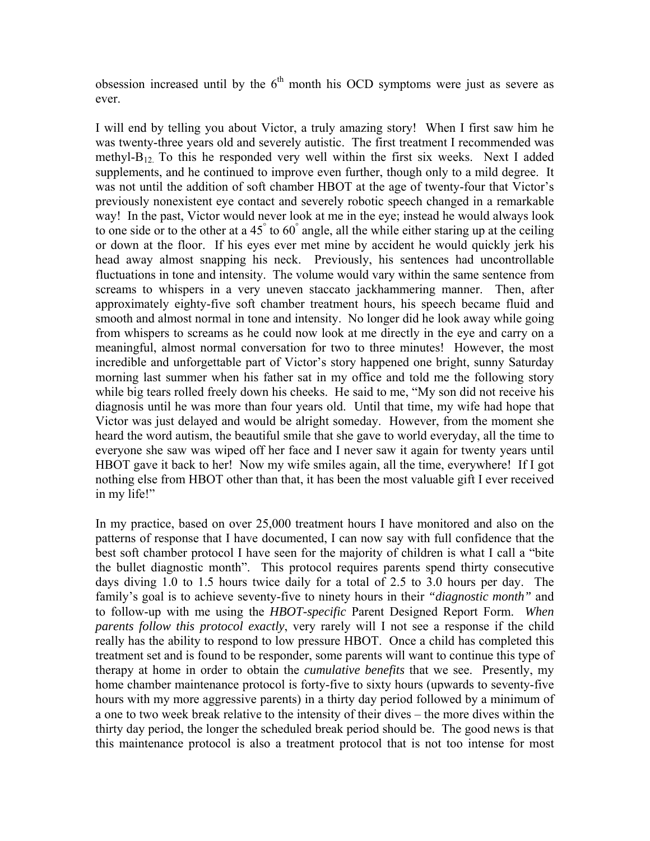obsession increased until by the  $6<sup>th</sup>$  month his OCD symptoms were just as severe as ever.

I will end by telling you about Victor, a truly amazing story! When I first saw him he was twenty-three years old and severely autistic. The first treatment I recommended was methyl-B12. To this he responded very well within the first six weeks. Next I added supplements, and he continued to improve even further, though only to a mild degree. It was not until the addition of soft chamber HBOT at the age of twenty-four that Victor's previously nonexistent eye contact and severely robotic speech changed in a remarkable way! In the past, Victor would never look at me in the eye; instead he would always look to one side or to the other at a  $45^{\circ}$  to  $60^{\circ}$  angle, all the while either staring up at the ceiling or down at the floor. If his eyes ever met mine by accident he would quickly jerk his head away almost snapping his neck. Previously, his sentences had uncontrollable fluctuations in tone and intensity. The volume would vary within the same sentence from screams to whispers in a very uneven staccato jackhammering manner. Then, after approximately eighty-five soft chamber treatment hours, his speech became fluid and smooth and almost normal in tone and intensity. No longer did he look away while going from whispers to screams as he could now look at me directly in the eye and carry on a meaningful, almost normal conversation for two to three minutes! However, the most incredible and unforgettable part of Victor's story happened one bright, sunny Saturday morning last summer when his father sat in my office and told me the following story while big tears rolled freely down his cheeks. He said to me, "My son did not receive his diagnosis until he was more than four years old. Until that time, my wife had hope that Victor was just delayed and would be alright someday. However, from the moment she heard the word autism, the beautiful smile that she gave to world everyday, all the time to everyone she saw was wiped off her face and I never saw it again for twenty years until HBOT gave it back to her! Now my wife smiles again, all the time, everywhere! If I got nothing else from HBOT other than that, it has been the most valuable gift I ever received in my life!"

In my practice, based on over 25,000 treatment hours I have monitored and also on the patterns of response that I have documented, I can now say with full confidence that the best soft chamber protocol I have seen for the majority of children is what I call a "bite the bullet diagnostic month". This protocol requires parents spend thirty consecutive days diving 1.0 to 1.5 hours twice daily for a total of 2.5 to 3.0 hours per day. The family's goal is to achieve seventy-five to ninety hours in their *"diagnostic month"* and to follow-up with me using the *HBOT-specific* Parent Designed Report Form. *When parents follow this protocol exactly*, very rarely will I not see a response if the child really has the ability to respond to low pressure HBOT. Once a child has completed this treatment set and is found to be responder, some parents will want to continue this type of therapy at home in order to obtain the *cumulative benefits* that we see. Presently, my home chamber maintenance protocol is forty-five to sixty hours (upwards to seventy-five hours with my more aggressive parents) in a thirty day period followed by a minimum of a one to two week break relative to the intensity of their dives – the more dives within the thirty day period, the longer the scheduled break period should be. The good news is that this maintenance protocol is also a treatment protocol that is not too intense for most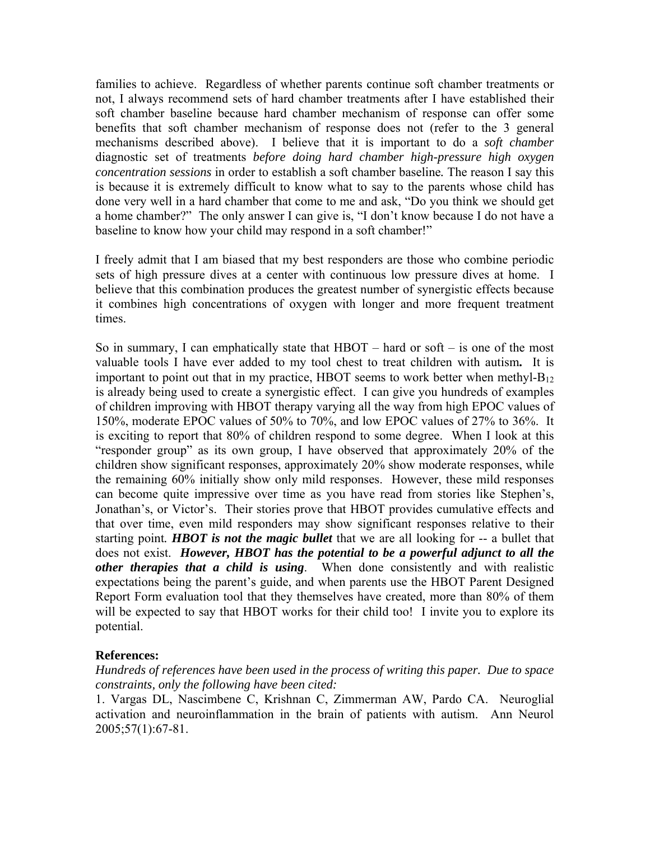families to achieve. Regardless of whether parents continue soft chamber treatments or not, I always recommend sets of hard chamber treatments after I have established their soft chamber baseline because hard chamber mechanism of response can offer some benefits that soft chamber mechanism of response does not (refer to the 3 general mechanisms described above). I believe that it is important to do a *soft chamber*  diagnostic set of treatments *before doing hard chamber high-pressure high oxygen concentration sessions* in order to establish a soft chamber baseline*.* The reason I say this is because it is extremely difficult to know what to say to the parents whose child has done very well in a hard chamber that come to me and ask, "Do you think we should get a home chamber?" The only answer I can give is, "I don't know because I do not have a baseline to know how your child may respond in a soft chamber!"

I freely admit that I am biased that my best responders are those who combine periodic sets of high pressure dives at a center with continuous low pressure dives at home. I believe that this combination produces the greatest number of synergistic effects because it combines high concentrations of oxygen with longer and more frequent treatment times.

So in summary, I can emphatically state that HBOT – hard or soft – is one of the most valuable tools I have ever added to my tool chest to treat children with autism**.** It is important to point out that in my practice, HBOT seems to work better when methyl- $B_{12}$ is already being used to create a synergistic effect. I can give you hundreds of examples of children improving with HBOT therapy varying all the way from high EPOC values of 150%, moderate EPOC values of 50% to 70%, and low EPOC values of 27% to 36%. It is exciting to report that 80% of children respond to some degree. When I look at this "responder group" as its own group, I have observed that approximately 20% of the children show significant responses, approximately 20% show moderate responses, while the remaining 60% initially show only mild responses. However, these mild responses can become quite impressive over time as you have read from stories like Stephen's, Jonathan's, or Victor's. Their stories prove that HBOT provides cumulative effects and that over time, even mild responders may show significant responses relative to their starting point*. HBOT is not the magic bullet* that we are all looking for -- a bullet that does not exist. *However, HBOT has the potential to be a powerful adjunct to all the other therapies that a child is using*. When done consistently and with realistic expectations being the parent's guide, and when parents use the HBOT Parent Designed Report Form evaluation tool that they themselves have created, more than 80% of them will be expected to say that HBOT works for their child too! I invite you to explore its potential.

## **References:**

*Hundreds of references have been used in the process of writing this paper. Due to space constraints, only the following have been cited:* 

1. Vargas DL, Nascimbene C, Krishnan C, Zimmerman AW, Pardo CA. Neuroglial activation and neuroinflammation in the brain of patients with autism. Ann Neurol 2005;57(1):67-81.